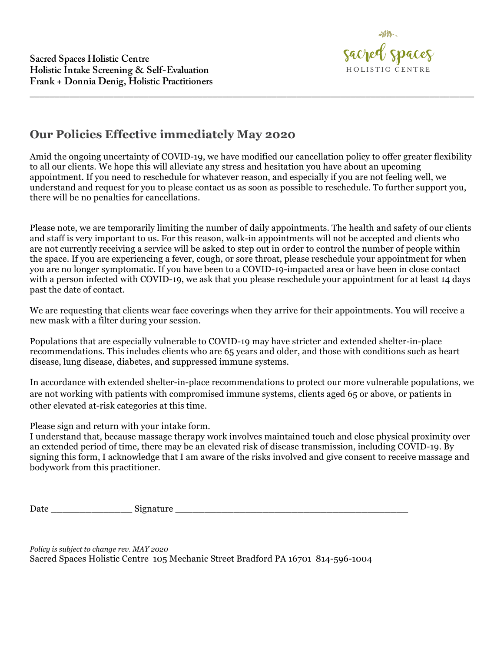

## **Our Policies Effective immediately May 2020**

Amid the ongoing uncertainty of COVID-19, we have modified our cancellation policy to offer greater flexibility to all our clients. We hope this will alleviate any stress and hesitation you have about an upcoming appointment. If you need to reschedule for whatever reason, and especially if you are not feeling well, we understand and request for you to please contact us as soon as possible to reschedule. To further support you, there will be no penalties for cancellations.

\_\_\_\_\_\_\_\_\_\_\_\_\_\_\_\_\_\_\_\_\_\_\_\_\_\_\_\_\_\_\_\_\_\_\_\_\_\_\_\_\_\_\_\_\_\_\_\_\_\_\_\_\_\_\_\_\_\_\_\_\_\_\_\_\_\_\_\_\_\_\_\_\_\_\_\_\_\_\_\_\_\_\_\_\_\_\_\_\_\_

Please note, we are temporarily limiting the number of daily appointments. The health and safety of our clients and staff is very important to us. For this reason, walk-in appointments will not be accepted and clients who are not currently receiving a service will be asked to step out in order to control the number of people within the space. If you are experiencing a fever, cough, or sore throat, please reschedule your appointment for when you are no longer symptomatic. If you have been to a COVID-19-impacted area or have been in close contact with a person infected with COVID-19, we ask that you please reschedule your appointment for at least 14 days past the date of contact.

We are requesting that clients wear face coverings when they arrive for their appointments. You will receive a new mask with a filter during your session.

Populations that are especially vulnerable to COVID-19 may have stricter and extended shelter-in-place recommendations. This includes clients who are 65 years and older, and those with conditions such as heart disease, lung disease, diabetes, and suppressed immune systems.

In accordance with extended shelter-in-place recommendations to protect our more vulnerable populations, we are not working with patients with compromised immune systems, clients aged 65 or above, or patients in other elevated at-risk categories at this time.

Please sign and return with your intake form.

I understand that, because massage therapy work involves maintained touch and close physical proximity over an extended period of time, there may be an elevated risk of disease transmission, including COVID-19. By signing this form, I acknowledge that I am aware of the risks involved and give consent to receive massage and bodywork from this practitioner.

Date \_\_\_\_\_\_\_\_\_\_\_\_\_\_ Signature \_\_\_\_\_\_\_\_\_\_\_\_\_\_\_\_\_\_\_\_\_\_\_\_\_\_\_\_\_\_\_\_\_\_\_\_\_\_\_\_

*Policy is subject to change rev. MAY 2020* Sacred Spaces Holistic Centre 105 Mechanic Street Bradford PA 16701 814-596-1004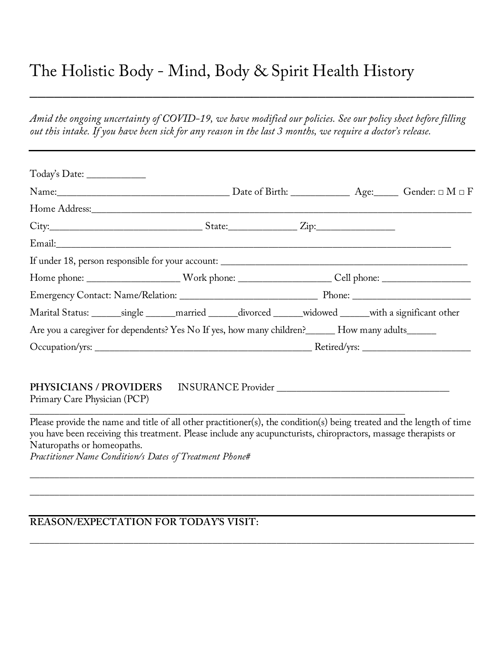# The Holistic Body - Mind, Body & Spirit Health History

*Amid the ongoing uncertainty of COVID-19, we have modified our policies. See our policy sheet before filling out this intake. If you have been sick for any reason in the last 3 months, we require a doctor's release.*

 $\mathcal{L} = \{ \mathcal{L} \mid \mathcal{L} \in \mathcal{L} \}$  , where  $\mathcal{L} = \{ \mathcal{L} \mid \mathcal{L} \in \mathcal{L} \}$  , where  $\mathcal{L} = \{ \mathcal{L} \mid \mathcal{L} \in \mathcal{L} \}$ 

| Today's Date: _______________                                                                                |  |  |  |  |  |                                                                                                                            |  |
|--------------------------------------------------------------------------------------------------------------|--|--|--|--|--|----------------------------------------------------------------------------------------------------------------------------|--|
|                                                                                                              |  |  |  |  |  | Name: $\_\_\_\_\_\_\_\_\_\_\_\_\_\_\_\_\_\_\_$ Date of Birth: $\_\_\_\_\_\_\_\_\_\_\_\_\_\_\_\_\_$ Gender: $\Box M \Box F$ |  |
|                                                                                                              |  |  |  |  |  |                                                                                                                            |  |
|                                                                                                              |  |  |  |  |  |                                                                                                                            |  |
|                                                                                                              |  |  |  |  |  |                                                                                                                            |  |
|                                                                                                              |  |  |  |  |  |                                                                                                                            |  |
|                                                                                                              |  |  |  |  |  |                                                                                                                            |  |
|                                                                                                              |  |  |  |  |  |                                                                                                                            |  |
| Marital Status: ________single _______married _______divorced _______widowed _______with a significant other |  |  |  |  |  |                                                                                                                            |  |
| Are you a caregiver for dependents? Yes No If yes, how many children? ______ How many adults______           |  |  |  |  |  |                                                                                                                            |  |
|                                                                                                              |  |  |  |  |  |                                                                                                                            |  |
|                                                                                                              |  |  |  |  |  |                                                                                                                            |  |
| <b>PHYSICIANS / PROVIDERS</b><br>Primary Care Physician (PCP)                                                |  |  |  |  |  | INSURANCE Provider                                                                                                         |  |

Please provide the name and title of all other practitioner(s), the condition(s) being treated and the length of time you have been receiving this treatment. Please include any acupuncturists, chiropractors, massage therapists or Naturopaths or homeopaths.

\_\_\_\_\_\_\_\_\_\_\_\_\_\_\_\_\_\_\_\_\_\_\_\_\_\_\_\_\_\_\_\_\_\_\_\_\_\_\_\_\_\_\_\_\_\_\_\_\_\_\_\_\_\_\_\_\_\_\_\_\_\_\_\_\_\_\_\_\_\_\_\_\_\_\_\_\_\_\_\_\_\_\_\_\_\_\_\_\_\_

\_\_\_\_\_\_\_\_\_\_\_\_\_\_\_\_\_\_\_\_\_\_\_\_\_\_\_\_\_\_\_\_\_\_\_\_\_\_\_\_\_\_\_\_\_\_\_\_\_\_\_\_\_\_\_\_\_\_\_\_\_\_\_\_\_\_\_\_\_\_\_\_\_\_\_\_\_\_\_\_\_\_\_\_\_\_\_\_\_\_

**\_\_\_\_\_\_\_\_\_\_\_\_\_\_\_\_\_\_\_\_\_\_\_\_\_\_\_\_\_\_\_\_\_\_\_\_\_\_\_\_\_\_\_\_\_\_\_\_\_\_\_\_\_\_\_\_\_\_\_\_\_\_\_\_\_\_\_\_\_\_\_\_\_\_\_\_\_\_\_\_\_\_\_\_\_\_\_\_\_\_**

\_\_\_\_\_\_\_\_\_\_\_\_\_\_\_\_\_\_\_\_\_\_\_\_\_\_\_\_\_\_\_\_\_\_\_\_\_\_\_\_\_\_\_\_\_\_\_\_\_\_\_\_\_\_\_\_\_\_\_\_\_\_\_\_\_\_\_\_\_\_\_\_\_\_\_\_

*Practitioner Name Condition/s Dates of Treatment Phone#*

#### **REASON/EXPECTATION FOR TODAY'S VISIT:**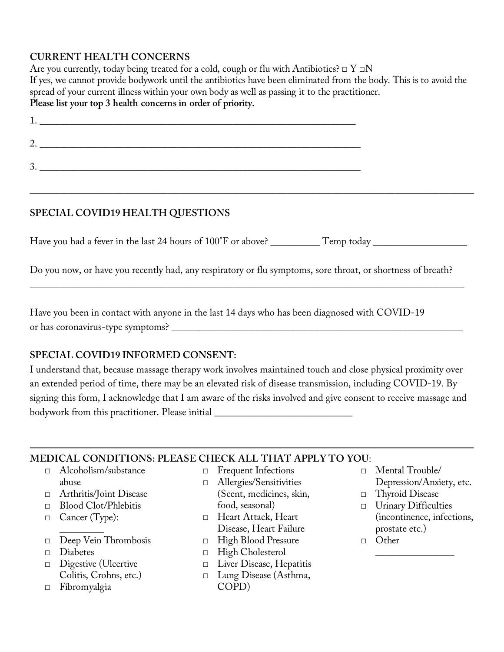### **CURRENT HEALTH CONCERNS**

Are you currently, today being treated for a cold, cough or flu with Antibiotics?  $\Box$   $\Gamma \Box N$ If yes, we cannot provide bodywork until the antibiotics have been eliminated from the body. This is to avoid the spread of your current illness within your own body as well as passing it to the practitioner. **Please list your top 3 health concerns in order of priority.**

| ∸-         |  |
|------------|--|
| ∠          |  |
| . <b>.</b> |  |

**\_\_\_\_\_\_\_\_\_\_\_\_\_\_\_\_\_\_\_\_\_\_\_\_\_\_\_\_\_\_\_\_\_\_\_\_\_\_\_\_\_\_\_\_\_\_\_\_\_\_\_\_\_\_\_\_\_\_\_\_\_\_\_\_\_\_\_\_\_\_\_\_\_\_\_\_\_\_\_\_\_\_\_\_\_\_\_\_\_\_**

## **SPECIAL COVID19 HEALTH QUESTIONS**

Have you had a fever in the last 24 hours of 100°F or above? \_\_\_\_\_\_\_\_\_\_Temp today \_\_\_\_\_\_\_\_\_\_\_\_\_\_\_\_\_\_\_\_\_\_\_\_\_\_\_\_

Do you now, or have you recently had, any respiratory or flu symptoms, sore throat, or shortness of breath?

\_\_\_\_\_\_\_\_\_\_\_\_\_\_\_\_\_\_\_\_\_\_\_\_\_\_\_\_\_\_\_\_\_\_\_\_\_\_\_\_\_\_\_\_\_\_\_\_\_\_\_\_\_\_\_\_\_\_\_\_\_\_\_\_\_\_\_\_\_\_\_\_\_\_\_\_\_\_\_\_\_\_\_\_\_\_\_\_

Have you been in contact with anyone in the last 14 days who has been diagnosed with COVID-19 or has coronavirus-type symptoms?

## **SPECIAL COVID19 INFORMED CONSENT:**

I understand that, because massage therapy work involves maintained touch and close physical proximity over an extended period of time, there may be an elevated risk of disease transmission, including COVID-19. By signing this form, I acknowledge that I am aware of the risks involved and give consent to receive massage and bodywork from this practitioner. Please initial \_\_\_\_\_\_\_\_\_\_\_\_\_\_\_\_\_\_\_\_\_\_\_\_\_\_\_\_

## **MEDICAL CONDITIONS: PLEASE CHECK ALL THAT APPLY TO YOU**:

- □ Alcoholism/substance abuse
- □ Arthritis/Joint Disease
- □ Blood Clot/Phlebitis
- □ Cancer (Type):
- $\overline{\phantom{a}}$  ,  $\overline{\phantom{a}}$  ,  $\overline{\phantom{a}}$  ,  $\overline{\phantom{a}}$  ,  $\overline{\phantom{a}}$  ,  $\overline{\phantom{a}}$  ,  $\overline{\phantom{a}}$  ,  $\overline{\phantom{a}}$  ,  $\overline{\phantom{a}}$  ,  $\overline{\phantom{a}}$  ,  $\overline{\phantom{a}}$  ,  $\overline{\phantom{a}}$  ,  $\overline{\phantom{a}}$  ,  $\overline{\phantom{a}}$  ,  $\overline{\phantom{a}}$  ,  $\overline{\phantom{a}}$ □ Deep Vein Thrombosis
- □ Diabetes
- □ Digestive (Ulcertive Colitis, Crohns, etc.)
- □ Fibromyalgia
- □ Frequent Infections
- □ Allergies/Sensitivities
- (Scent, medicines, skin, food, seasonal)
- □ Heart Attack, Heart Disease, Heart Failure
- □ High Blood Pressure
- □ High Cholesterol
- □ Liver Disease, Hepatitis
- □ Lung Disease (Asthma, COPD)
- □ Mental Trouble/ Depression/Anxiety, etc.
- □ Thyroid Disease
- □ Urinary Difficulties (incontinence, infections, prostate etc.)

 $\overline{\phantom{a}}$  , where  $\overline{\phantom{a}}$ 

□ Other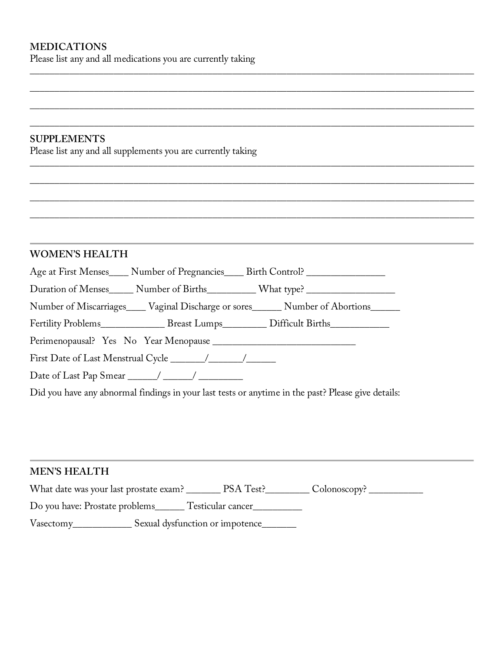Please list any and all medications you are currently taking

#### **SUPPLEMENTS**

Please list any and all supplements you are currently taking

#### **WOMEN'S HEALTH**

| Age at First Menses | Number of Pregnancies Birth Control? |  |
|---------------------|--------------------------------------|--|
|                     |                                      |  |

**\_\_\_\_\_\_\_\_\_\_\_\_\_\_\_\_\_\_\_\_\_\_\_\_\_\_\_\_\_\_\_\_\_\_\_\_\_\_\_\_\_\_\_\_\_\_\_\_\_\_\_\_\_\_\_\_\_\_\_\_\_\_\_\_\_\_\_\_\_\_\_\_\_\_\_\_\_\_\_\_\_\_\_\_\_\_\_\_\_\_**

**\_\_\_\_\_\_\_\_\_\_\_\_\_\_\_\_\_\_\_\_\_\_\_\_\_\_\_\_\_\_\_\_\_\_\_\_\_\_\_\_\_\_\_\_\_\_\_\_\_\_\_\_\_\_\_\_\_\_\_\_\_\_\_\_\_\_\_\_\_\_\_\_\_\_\_\_\_\_\_\_\_\_\_\_\_\_\_\_\_\_**

**\_\_\_\_\_\_\_\_\_\_\_\_\_\_\_\_\_\_\_\_\_\_\_\_\_\_\_\_\_\_\_\_\_\_\_\_\_\_\_\_\_\_\_\_\_\_\_\_\_\_\_\_\_\_\_\_\_\_\_\_\_\_\_\_\_\_\_\_\_\_\_\_\_\_\_\_\_\_\_\_\_\_\_\_\_\_\_\_\_\_**

**\_\_\_\_\_\_\_\_\_\_\_\_\_\_\_\_\_\_\_\_\_\_\_\_\_\_\_\_\_\_\_\_\_\_\_\_\_\_\_\_\_\_\_\_\_\_\_\_\_\_\_\_\_\_\_\_\_\_\_\_\_\_\_\_\_\_\_\_\_\_\_\_\_\_\_\_\_\_\_\_\_\_\_\_\_\_\_\_\_\_**

**\_\_\_\_\_\_\_\_\_\_\_\_\_\_\_\_\_\_\_\_\_\_\_\_\_\_\_\_\_\_\_\_\_\_\_\_\_\_\_\_\_\_\_\_\_\_\_\_\_\_\_\_\_\_\_\_\_\_\_\_\_\_\_\_\_\_\_\_\_\_\_\_\_\_\_\_\_\_\_\_\_\_\_\_\_\_\_\_\_\_**

**\_\_\_\_\_\_\_\_\_\_\_\_\_\_\_\_\_\_\_\_\_\_\_\_\_\_\_\_\_\_\_\_\_\_\_\_\_\_\_\_\_\_\_\_\_\_\_\_\_\_\_\_\_\_\_\_\_\_\_\_\_\_\_\_\_\_\_\_\_\_\_\_\_\_\_\_\_\_\_\_\_\_\_\_\_\_\_\_\_\_**

**\_\_\_\_\_\_\_\_\_\_\_\_\_\_\_\_\_\_\_\_\_\_\_\_\_\_\_\_\_\_\_\_\_\_\_\_\_\_\_\_\_\_\_\_\_\_\_\_\_\_\_\_\_\_\_\_\_\_\_\_\_\_\_\_\_\_\_\_\_\_\_\_\_\_\_\_\_\_\_\_\_\_\_\_\_\_\_\_\_\_**

**\_\_\_\_\_\_\_\_\_\_\_\_\_\_\_\_\_\_\_\_\_\_\_\_\_\_\_\_\_\_\_\_\_\_\_\_\_\_\_\_\_\_\_\_\_\_\_\_\_\_\_\_\_\_\_\_\_\_\_\_\_\_\_\_\_\_\_\_\_\_\_\_\_\_\_\_\_\_\_\_\_\_\_\_\_\_\_\_\_\_**

Duration of Menses\_\_\_\_\_ Number of Births\_\_\_\_\_\_\_\_\_ What type? \_\_\_\_\_\_\_\_\_\_\_\_\_\_\_\_\_\_\_

Number of Miscarriages\_\_\_\_ Vaginal Discharge or sores\_\_\_\_\_\_ Number of Abortions\_\_\_\_\_\_

Fertility Problems\_\_\_\_\_\_\_\_\_\_\_\_\_\_ Breast Lumps\_\_\_\_\_\_\_\_\_ Difficult Births\_\_\_\_\_\_\_\_\_\_

Perimenopausal? Yes No Year Menopause

First Date of Last Menstrual Cycle \_\_\_\_\_\_\_/\_\_\_\_\_\_\_/\_\_\_\_\_\_

Date of Last Pap Smear \_\_\_\_\_\_/ \_\_\_\_\_\_/ \_\_\_\_\_\_\_\_\_

Did you have any abnormal findings in your last tests or anytime in the past? Please give details:

#### **MEN'S HEALTH**

| What date was your last prostate exam? |                                 | PSA Test? | Colonoscopy? |
|----------------------------------------|---------------------------------|-----------|--------------|
| Do you have: Prostate problems_        | Testicular cancer               |           |              |
| Vasectomy                              | Sexual dysfunction or impotence |           |              |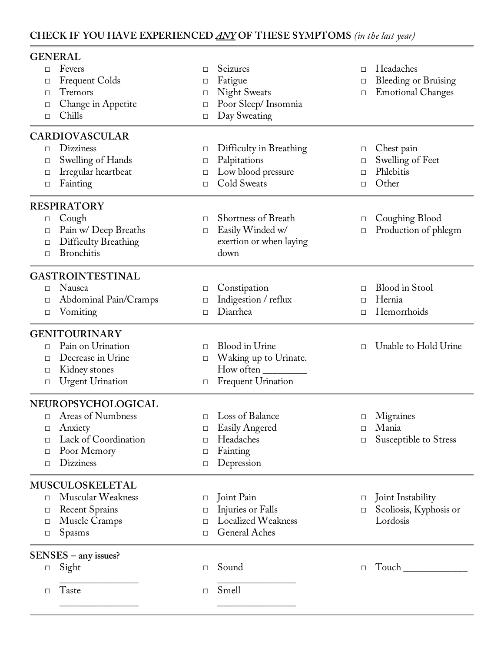## **CHECK IF YOU HAVE EXPERIENCED** *ANY* **OF THESE SYMPTOMS** *(in the last year)*

|        | <b>GENERAL</b>              |        |                           |        |                             |
|--------|-----------------------------|--------|---------------------------|--------|-----------------------------|
| $\Box$ | Fevers                      | □      | Seizures                  | $\Box$ | Headaches                   |
| □      | <b>Frequent Colds</b>       | □      | Fatigue                   | □      | <b>Bleeding or Bruising</b> |
| □      | Tremors                     | $\Box$ | <b>Night Sweats</b>       | $\Box$ | <b>Emotional Changes</b>    |
| □      | Change in Appetite          | □      | Poor Sleep/Insomnia       |        |                             |
| □      | Chills                      | $\Box$ | Day Sweating              |        |                             |
|        | CARDIOVASCULAR              |        |                           |        |                             |
| □      | <b>Dizziness</b>            | $\Box$ | Difficulty in Breathing   | □      | Chest pain                  |
| □      | Swelling of Hands           | □      | Palpitations              | $\Box$ | Swelling of Feet            |
| □      | Irregular heartbeat         | □      | Low blood pressure        | $\Box$ | Phlebitis                   |
| □      | Fainting                    | $\Box$ | Cold Sweats               | □      | Other                       |
|        | <b>RESPIRATORY</b>          |        |                           |        |                             |
| $\Box$ | Cough                       | □      | Shortness of Breath       | $\Box$ | Coughing Blood              |
| □      | Pain w/ Deep Breaths        | $\Box$ | Easily Winded w/          | $\Box$ | Production of phlegm        |
| □      | <b>Difficulty Breathing</b> |        | exertion or when laying   |        |                             |
| □      | <b>Bronchitis</b>           |        | down                      |        |                             |
|        | <b>GASTROINTESTINAL</b>     |        |                           |        |                             |
| □      | Nausea                      | $\Box$ | Constipation              | $\Box$ | <b>Blood</b> in Stool       |
| □      | Abdominal Pain/Cramps       | $\Box$ | Indigestion / reflux      | $\Box$ | Hernia                      |
| □      | Vomiting                    | □      | Diarrhea                  | $\Box$ | Hemorrhoids                 |
|        | <b>GENITOURINARY</b>        |        |                           |        |                             |
| □      | Pain on Urination           | П      | Blood in Urine            | $\Box$ | Unable to Hold Urine        |
| □      | Decrease in Urine           | $\Box$ | Waking up to Urinate.     |        |                             |
| □      | Kidney stones               |        | How often                 |        |                             |
| □      | <b>Urgent Urination</b>     | □      | <b>Frequent Urination</b> |        |                             |
|        | NEUROPSYCHOLOGICAL          |        |                           |        |                             |
| $\Box$ | Areas of Numbness           | □      | Loss of Balance           | □      | Migraines                   |
| □      | Anxiety                     | □      | Easily Angered            | $\Box$ | Mania                       |
| □      | Lack of Coordination        | П      | Headaches                 | □      | Susceptible to Stress       |
| □      | Poor Memory                 | □      | Fainting                  |        |                             |
| □      | <b>Dizziness</b>            | □      | Depression                |        |                             |
|        | MUSCULOSKELETAL             |        |                           |        |                             |
| $\Box$ | Muscular Weakness           | □      | Joint Pain                | $\Box$ | Joint Instability           |
| □      | <b>Recent Sprains</b>       | □      | Injuries or Falls         | □      | Scoliosis, Kyphosis or      |
| □      | Muscle Cramps               | П      | <b>Localized Weakness</b> |        | Lordosis                    |
| □      | Spasms                      | П      | General Aches             |        |                             |
|        | $SENSES - any issues?$      |        |                           |        |                             |
| $\Box$ | Sight                       | □      | Sound                     | $\Box$ |                             |
| □      | Taste                       | $\Box$ | Smell                     |        |                             |
|        |                             |        |                           |        |                             |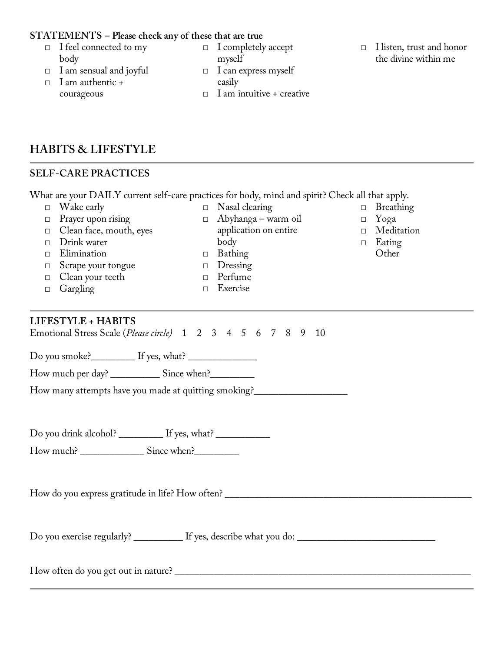#### **STATEMENTS – Please check any of these that are true**

- □ I feel connected to my body
- □ I am sensual and joyful
- □ I am authentic + courageous
- □ I completely accept myself
- $\Box$  I can express myself easily
- □ I am intuitive + creative
- □ I listen, trust and honor the divine within me

□ Yoga □ Meditation □ Eating **Other** 

**HABITS & LIFESTYLE**

#### **SELF-CARE PRACTICES**

What are your DAILY current self-care practices for body, mind and spirit? Check all that apply. □ Wake early □ Nasal clearing □ Breathing

- □ Prayer upon rising
- □ Clean face, mouth, eyes
- □ Drink water
- □ Elimination
- □ Scrape your tongue
- □ Clean your teeth
- □ Gargling

application on entire body

□ Abyhanga – warm oil

- □ Bathing
	- □ Dressing
- □ Perfume
	- □ Exercise
	-

#### **LIFESTYLE + HABITS**

Emotional Stress Scale (*Please circle)* 1 2 3 4 5 6 7 8 9 10

Do you smoke?\_\_\_\_\_\_\_\_\_ If yes, what? \_\_\_\_\_\_\_\_\_\_\_\_\_\_

How much per day? \_\_\_\_\_\_\_\_\_\_ Since when?\_\_\_\_\_\_\_\_\_

How many attempts have you made at quitting smoking?\_\_\_\_\_\_\_\_\_\_\_\_\_\_\_\_\_\_\_\_\_\_\_\_\_\_\_\_

Do you drink alcohol? \_\_\_\_\_\_\_\_\_ If yes, what? \_\_\_\_\_\_\_\_\_\_\_\_\_\_\_\_\_\_\_\_\_\_\_\_\_\_\_\_\_\_\_\_\_\_

How much? \_\_\_\_\_\_\_\_\_\_\_\_\_ Since when?\_\_\_\_\_\_\_\_\_

How do you express gratitude in life? How often? \_\_\_\_\_\_\_\_\_\_\_\_\_\_\_\_\_\_\_\_\_\_\_\_\_\_\_\_\_\_\_\_\_\_\_\_\_\_\_\_\_\_\_\_\_\_\_\_\_\_

Do you exercise regularly? \_\_\_\_\_\_\_\_\_\_ If yes, describe what you do: \_\_\_\_\_\_\_\_\_\_\_\_\_\_\_\_\_\_\_\_\_\_\_\_\_\_\_\_

How often do you get out in nature? \_\_\_\_\_\_\_\_\_\_\_\_\_\_\_\_\_\_\_\_\_\_\_\_\_\_\_\_\_\_\_\_\_\_\_\_\_\_\_\_\_\_\_\_\_\_\_\_\_\_\_\_\_\_\_\_\_\_\_\_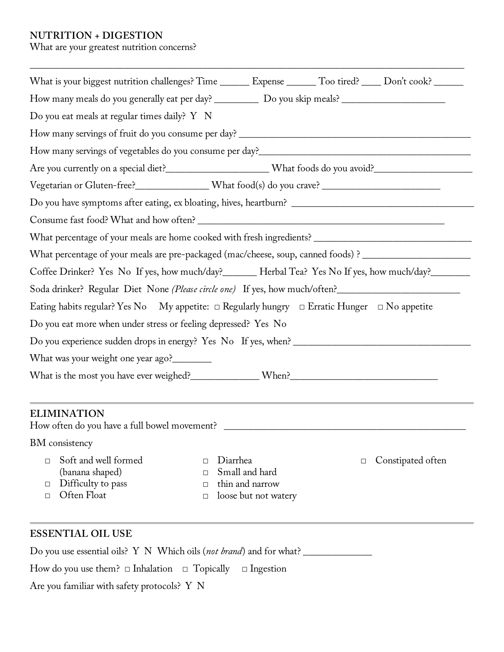#### **NUTRITION + DIGESTION**

What are your greatest nutrition concerns?

|                                                                                                                                                                                    | What is your biggest nutrition challenges? Time ________ Expense _______ Too tired? _____ Don't cook? _______  |  |  |  |  |                                                                                                             |
|------------------------------------------------------------------------------------------------------------------------------------------------------------------------------------|----------------------------------------------------------------------------------------------------------------|--|--|--|--|-------------------------------------------------------------------------------------------------------------|
| How many meals do you generally eat per day? _____________ Do you skip meals? ______________________                                                                               |                                                                                                                |  |  |  |  |                                                                                                             |
| Do you eat meals at regular times daily? Y N                                                                                                                                       |                                                                                                                |  |  |  |  |                                                                                                             |
|                                                                                                                                                                                    |                                                                                                                |  |  |  |  |                                                                                                             |
|                                                                                                                                                                                    |                                                                                                                |  |  |  |  |                                                                                                             |
|                                                                                                                                                                                    |                                                                                                                |  |  |  |  |                                                                                                             |
| Vegetarian or Gluten-free?________________What food(s) do you crave? _______________________________                                                                               |                                                                                                                |  |  |  |  |                                                                                                             |
|                                                                                                                                                                                    |                                                                                                                |  |  |  |  |                                                                                                             |
|                                                                                                                                                                                    |                                                                                                                |  |  |  |  |                                                                                                             |
|                                                                                                                                                                                    |                                                                                                                |  |  |  |  |                                                                                                             |
| What percentage of your meals are pre-packaged (mac/cheese, soup, canned foods) ? ________________________                                                                         |                                                                                                                |  |  |  |  |                                                                                                             |
| Coffee Drinker? Yes No If yes, how much/day?_______ Herbal Tea? Yes No If yes, how much/day?_______<br>Soda drinker? Regular Diet None (Please circle one) If yes, how much/often? |                                                                                                                |  |  |  |  |                                                                                                             |
|                                                                                                                                                                                    |                                                                                                                |  |  |  |  | Eating habits regular? Yes No My appetite: $\Box$ Regularly hungry $\Box$ Erratic Hunger $\Box$ No appetite |
| Do you eat more when under stress or feeling depressed? Yes No                                                                                                                     |                                                                                                                |  |  |  |  |                                                                                                             |
|                                                                                                                                                                                    |                                                                                                                |  |  |  |  |                                                                                                             |
| What was your weight one year ago?________                                                                                                                                         |                                                                                                                |  |  |  |  |                                                                                                             |
|                                                                                                                                                                                    |                                                                                                                |  |  |  |  |                                                                                                             |
| <b>ELIMINATION</b>                                                                                                                                                                 |                                                                                                                |  |  |  |  |                                                                                                             |
|                                                                                                                                                                                    | How often do you have a full bowel movement? ___________________________________                               |  |  |  |  |                                                                                                             |
| BM consistency                                                                                                                                                                     |                                                                                                                |  |  |  |  |                                                                                                             |
| Soft and well formed<br>П<br>(banana shaped)<br>Difficulty to pass<br>□<br>Often Float<br>П                                                                                        | Diarrhea<br>Constipated often<br>П<br>Small and hard<br>П<br>thin and narrow<br>П<br>loose but not watery<br>□ |  |  |  |  |                                                                                                             |
|                                                                                                                                                                                    |                                                                                                                |  |  |  |  |                                                                                                             |

\_\_\_\_\_\_\_\_\_\_\_\_\_\_\_\_\_\_\_\_\_\_\_\_\_\_\_\_\_\_\_\_\_\_\_\_\_\_\_\_\_\_\_\_\_\_\_\_\_\_\_\_\_\_\_\_\_\_\_\_\_\_\_\_\_\_\_\_\_\_\_\_\_\_\_\_\_\_\_\_\_\_\_\_\_\_\_\_

## **ESSENTIAL OIL USE**

Do you use essential oils? Y N Which oils (*not brand*) and for what? \_\_\_\_\_\_\_\_\_\_\_\_\_\_\_\_\_

How do you use them?  $\Box$  Inhalation  $\Box$  Topically  $\Box$  Ingestion

Are you familiar with safety protocols? Y N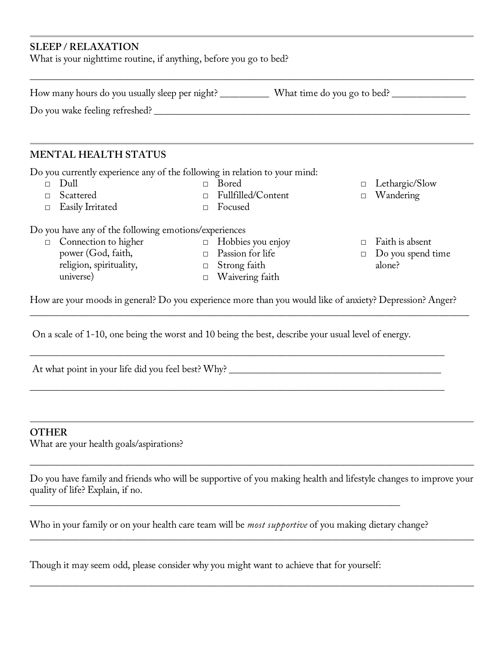#### **SLEEP / RELAXATION**

What is your nighttime routine, if anything, before you go to bed?

How many hours do you usually sleep per night? \_\_\_\_\_\_\_\_\_\_\_\_ What time do you go to bed? \_\_\_\_\_\_\_\_\_\_\_\_\_\_\_\_\_\_\_\_\_\_

\_\_\_\_\_\_\_\_\_\_\_\_\_\_\_\_\_\_\_\_\_\_\_\_\_\_\_\_\_\_\_\_\_\_\_\_\_\_\_\_\_\_\_\_\_\_\_\_\_\_\_\_\_\_\_\_\_\_\_\_\_\_\_\_\_\_\_\_\_\_\_\_\_\_\_\_\_\_\_\_\_\_\_\_\_\_\_\_\_\_

Do you wake feeling refreshed? \_\_\_\_\_\_\_\_\_\_\_\_\_\_\_\_\_\_\_\_\_\_\_\_\_\_\_\_\_\_\_\_\_\_\_\_\_\_\_\_\_\_\_\_\_\_\_\_\_\_\_\_\_\_\_\_\_\_\_\_\_\_\_\_

#### **MENTAL HEALTH STATUS**

Do you currently experience any of the following in relation to your mind:

□ Dull

□ Scattered

- □ Bored
	- □ Fullfilled/Content
- □ Easily Irritated

 $\Box$  Focused

Do you have any of the following emotions/experiences

- □ Connection to higher power (God, faith, religion, spirituality, universe)
- $\Box$  Hobbies you enjoy □ Passion for life
- □ Strong faith
- □ Waivering faith
- □ Lethargic/Slow
- □ Wandering
- □ Faith is absent
- □ Do you spend time alone?

How are your moods in general? Do you experience more than you would like of anxiety? Depression? Anger?

\_\_\_\_\_\_\_\_\_\_\_\_\_\_\_\_\_\_\_\_\_\_\_\_\_\_\_\_\_\_\_\_\_\_\_\_\_\_\_\_\_\_\_\_\_\_\_\_\_\_\_\_\_\_\_\_\_\_\_\_\_\_\_\_\_\_\_\_\_\_\_\_\_\_\_\_\_\_\_\_\_\_\_\_

\_\_\_\_\_\_\_\_\_\_\_\_\_\_\_\_\_\_\_\_\_\_\_\_\_\_\_\_\_\_\_\_\_\_\_\_\_\_\_\_\_\_\_\_\_\_\_\_\_\_\_\_\_\_\_\_\_\_\_\_\_\_\_\_\_\_\_\_\_\_\_\_\_\_\_\_\_\_\_\_\_\_\_\_

\_\_\_\_\_\_\_\_\_\_\_\_\_\_\_\_\_\_\_\_\_\_\_\_\_\_\_\_\_\_\_\_\_\_\_\_\_\_\_\_\_\_\_\_\_\_\_\_\_\_\_\_\_\_\_\_\_\_\_\_\_\_\_\_\_\_\_\_\_\_\_\_\_\_\_\_\_\_\_\_\_\_\_\_\_\_\_\_\_

On a scale of 1-10, one being the worst and 10 being the best, describe your usual level of energy.

At what point in your life did you feel best? Why? \_\_\_\_\_\_\_\_\_\_\_\_\_\_\_\_\_\_\_\_\_\_\_\_\_\_\_\_\_\_\_\_\_\_\_\_\_\_\_\_\_\_\_

#### **OTHER**

What are your health goals/aspirations?

Do you have family and friends who will be supportive of you making health and lifestyle changes to improve your quality of life? Explain, if no.

\_\_\_\_\_\_\_\_\_\_\_\_\_\_\_\_\_\_\_\_\_\_\_\_\_\_\_\_\_\_\_\_\_\_\_\_\_\_\_\_\_\_\_\_\_\_\_\_\_\_\_\_\_\_\_\_\_\_\_\_\_\_\_\_\_\_\_\_\_\_\_\_\_\_\_\_\_\_\_\_\_\_\_\_\_\_\_\_\_\_

\_\_\_\_\_\_\_\_\_\_\_\_\_\_\_\_\_\_\_\_\_\_\_\_\_\_\_\_\_\_\_\_\_\_\_\_\_\_\_\_\_\_\_\_\_\_\_\_\_\_\_\_\_\_\_\_\_\_\_\_\_\_\_\_\_\_\_\_\_\_\_\_\_\_\_\_\_\_\_\_\_\_\_\_\_\_\_\_\_\_

\_\_\_\_\_\_\_\_\_\_\_\_\_\_\_\_\_\_\_\_\_\_\_\_\_\_\_\_\_\_\_\_\_\_\_\_\_\_\_\_\_\_\_\_\_\_\_\_\_\_\_\_\_\_\_\_\_\_\_\_\_\_\_\_\_\_\_\_\_\_\_\_\_\_\_\_\_\_\_\_\_\_\_\_\_\_\_\_\_\_

Who in your family or on your health care team will be *most supportive* of you making dietary change?

\_\_\_\_\_\_\_\_\_\_\_\_\_\_\_\_\_\_\_\_\_\_\_\_\_\_\_\_\_\_\_\_\_\_\_\_\_\_\_\_\_\_\_\_\_\_\_\_\_\_\_\_\_\_\_\_\_\_\_\_\_\_\_\_\_\_\_\_\_\_\_\_\_\_\_

Though it may seem odd, please consider why you might want to achieve that for yourself: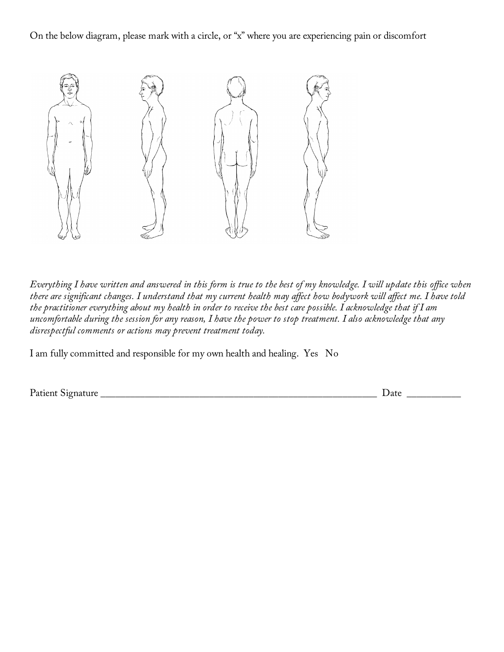On the below diagram, please mark with a circle, or "x" where you are experiencing pain or discomfort



*Everything I have written and answered in this form is true to the best of my knowledge. I will update this office when there are significant changes. I understand that my current health may affect how bodywork will affect me. I have told the practitioner everything about my health in order to receive the best care possible. I acknowledge that if I am uncomfortable during the session for any reason, I have the power to stop treatment. I also acknowledge that any disrespectful comments or actions may prevent treatment today.*

I am fully committed and responsible for my own health and healing. Yes No

Patient Signature \_\_\_\_\_\_\_\_\_\_\_\_\_\_\_\_\_\_\_\_\_\_\_\_\_\_\_\_\_\_\_\_\_\_\_\_\_\_\_\_\_\_\_\_\_\_\_\_\_\_\_\_\_\_\_\_ Date \_\_\_\_\_\_\_\_\_\_\_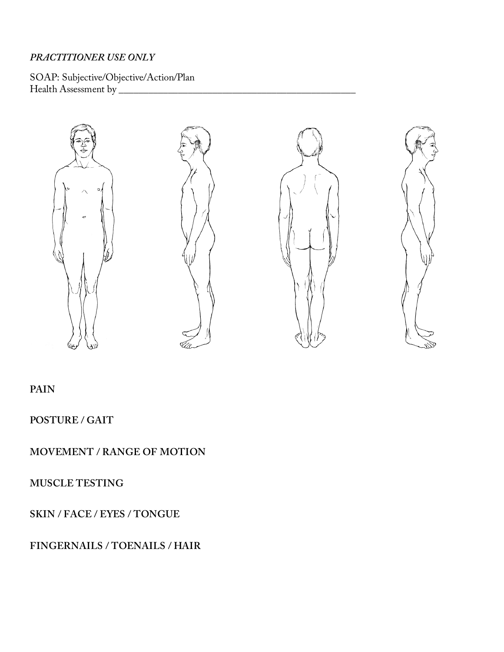#### *PRACTITIONER USE ONLY*

SOAP: Subjective/Objective/Action/Plan Health Assessment by \_\_\_\_\_\_\_\_\_\_\_\_\_\_\_\_\_\_\_\_\_\_\_\_\_\_\_\_\_\_\_\_\_\_\_\_\_\_\_\_\_\_\_\_\_\_\_\_



#### **PAIN**

**POSTURE / GAIT**

**MOVEMENT / RANGE OF MOTION**

**MUSCLE TESTING**

**SKIN / FACE / EYES / TONGUE**

**FINGERNAILS / TOENAILS / HAIR**